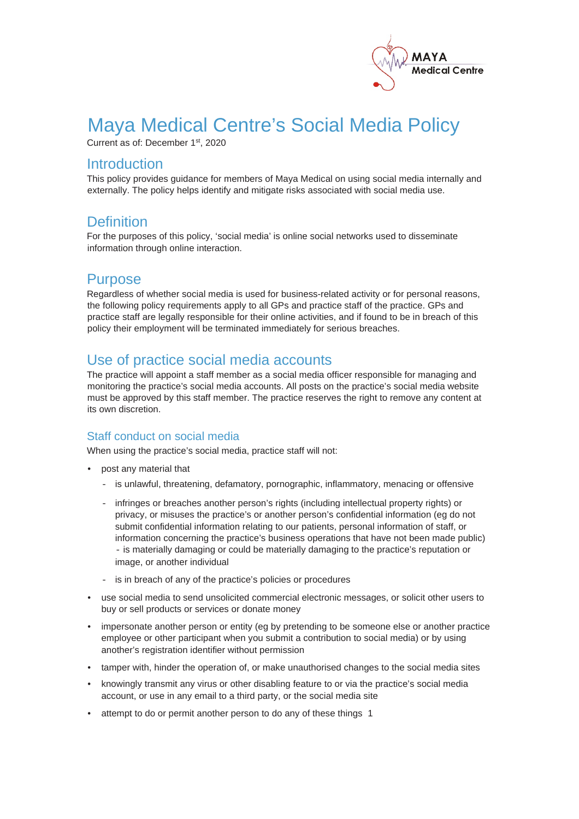

# Maya Medical Centre's Social Media Policy

Current as of: December 1<sup>st</sup>, 2020

# **Introduction**

This policy provides guidance for members of Maya Medical on using social media internally and externally. The policy helps identify and mitigate risks associated with social media use.

# **Definition**

For the purposes of this policy, 'social media' is online social networks used to disseminate information through online interaction.

# **Purpose**

Regardless of whether social media is used for business-related activity or for personal reasons, the following policy requirements apply to all GPs and practice staff of the practice. GPs and practice staff are legally responsible for their online activities, and if found to be in breach of this policy their employment will be terminated immediately for serious breaches.

# Use of practice social media accounts

The practice will appoint a staff member as a social media officer responsible for managing and monitoring the practice's social media accounts. All posts on the practice's social media website must be approved by this staff member. The practice reserves the right to remove any content at its own discretion.

### Staff conduct on social media

When using the practice's social media, practice staff will not:

- post any material that
	- is unlawful, threatening, defamatory, pornographic, inflammatory, menacing or offensive
	- infringes or breaches another person's rights (including intellectual property rights) or privacy, or misuses the practice's or another person's confidential information (eg do not submit confidential information relating to our patients, personal information of staff, or information concerning the practice's business operations that have not been made public) - is materially damaging or could be materially damaging to the practice's reputation or image, or another individual
	- is in breach of any of the practice's policies or procedures
- use social media to send unsolicited commercial electronic messages, or solicit other users to buy or sell products or services or donate money
- impersonate another person or entity (eg by pretending to be someone else or another practice employee or other participant when you submit a contribution to social media) or by using another's registration identifier without permission
- tamper with, hinder the operation of, or make unauthorised changes to the social media sites
- knowingly transmit any virus or other disabling feature to or via the practice's social media account, or use in any email to a third party, or the social media site
- attempt to do or permit another person to do any of these things 1